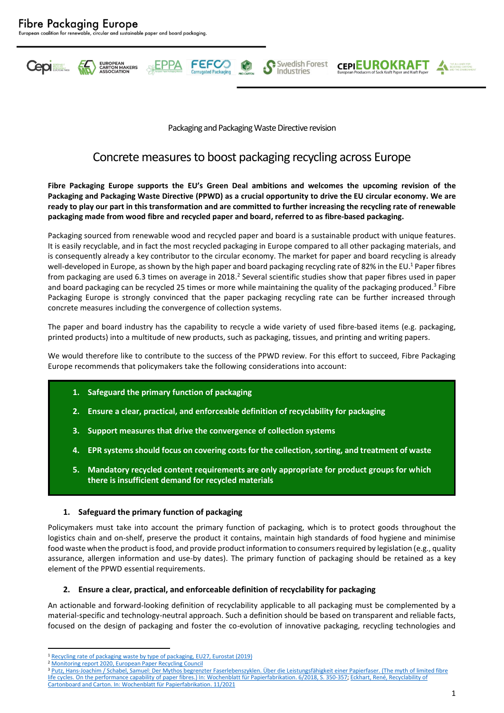

Packaging and Packaging Waste Directive revision

Swedish Forest

Industries

**CEPIEUROKRAFT** 

# Concrete measures to boost packaging recycling across Europe

**Fibre Packaging Europe supports the EU's Green Deal ambitions and welcomes the upcoming revision of the Packaging and Packaging Waste Directive (PPWD) as a crucial opportunity to drive the EU circular economy. We are ready to play our part in this transformation and are committed to further increasing the recycling rate of renewable packaging made from wood fibre and recycled paper and board, referred to as fibre-based packaging.**

Packaging sourced from renewable wood and recycled paper and board is a sustainable product with unique features. It is easily recyclable, and in fact the most recycled packaging in Europe compared to all other packaging materials, and is consequently already a key contributor to the circular economy. The market for paper and board recycling is already well-developed in Europe, as shown by the high paper and board packaging recycling rate of 82% in the EU.<sup>1</sup> Paper fibres from packaging are used 6.3 times on average in 2018.<sup>2</sup> Several scientific studies show that paper fibres used in paper and board packaging can be recycled 25 times or more while maintaining the quality of the packaging produced.<sup>3</sup> Fibre Packaging Europe is strongly convinced that the paper packaging recycling rate can be further increased through concrete measures including the convergence of collection systems.

The paper and board industry has the capability to recycle a wide variety of used fibre-based items (e.g. packaging, printed products) into a multitude of new products, such as packaging, tissues, and printing and writing papers.

We would therefore like to contribute to the success of the PPWD review. For this effort to succeed, Fibre Packaging Europe recommends that policymakers take the following considerations into account:

- **1. Safeguard the primary function of packaging**
- **2. Ensure a clear, practical, and enforceable definition of recyclability for packaging**
- **3. Support measures that drive the convergence of collection systems**
- **4. EPR systemsshould focus on covering costs for the collection,sorting, and treatment of waste**
- **5. Mandatory recycled content requirements are only appropriate for product groups for which there is insufficient demand for recycled materials**

## **1. Safeguard the primary function of packaging**

Policymakers must take into account the primary function of packaging, which is to protect goods throughout the logistics chain and on-shelf, preserve the product it contains, maintain high standards of food hygiene and minimise food waste when the product is food, and provide product information to consumers required by legislation (e.g., quality assurance, allergen information and use-by dates). The primary function of packaging should be retained as a key element of the PPWD essential requirements.

#### **2. Ensure a clear, practical, and enforceable definition of recyclability for packaging**

An actionable and forward-looking definition of recyclability applicable to all packaging must be complemented by a material-specific and technology-neutral approach. Such a definition should be based on transparent and reliable facts, focused on the design of packaging and foster the co-evolution of innovative packaging, recycling technologies and

<sup>1</sup> [Recycling rate of packaging waste by type of packaging, EU27, Eurostat \(2019\)](https://ec.europa.eu/eurostat/databrowser/view/ENV_WASPACR__custom_1717115/bookmark/table?lang=en&bookmarkId=d73804e4-e7d8-464d-9d5d-c9f1019d3fcf)

<sup>2</sup> [Monitoring report 2020, European Paper Recycling Council](https://www.paperforrecycling.eu/wp-content/uploads/dlm_uploads/2021/07/EPRC_Monitoring_Report_2020_20210716.pdf)

<sup>&</sup>lt;sup>3</sup> Putz, Hans-Joachim / Schabel, Samuel: Der Mythos begrenzter Faserlebenszyklen. Über die Leistungsfähigkeit einer Papierfaser. (The myth of limited fibre life cycles. On the performance capability of paper fibres.) [In: Wochenblatt für Papierfabrikation. 6/2018, S. 350-357;](https://at.twosides.info/wp-content/uploads/sites/7/2019/12/18-06-Mehrfachrecycling-TU-Darmstadt.pdf) [Eckhart, René, Recyclability of](https://www.procarton.com/wp-content/uploads/2022/01/25-Loops-Study-English-v3.pdf)  [Cartonboard and Carton. In: Wochenblatt für Papierfabrikation. 11/2021](https://www.procarton.com/wp-content/uploads/2022/01/25-Loops-Study-English-v3.pdf)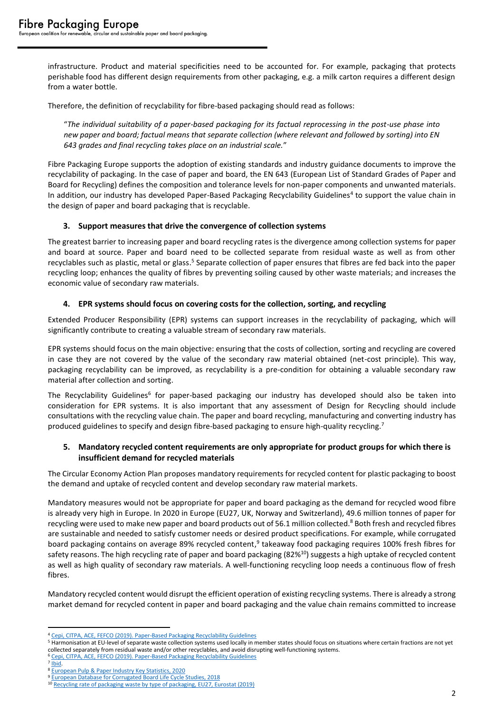infrastructure. Product and material specificities need to be accounted for. For example, packaging that protects perishable food has different design requirements from other packaging, e.g. a milk carton requires a different design from a water bottle.

Therefore, the definition of recyclability for fibre-based packaging should read as follows:

"*The individual suitability of a paper-based packaging for its factual reprocessing in the post-use phase into new paper and board; factual means that separate collection (where relevant and followed by sorting) into EN 643 grades and final recycling takes place on an industrial scale.*"

Fibre Packaging Europe supports the adoption of existing standards and industry guidance documents to improve the recyclability of packaging. In the case of paper and board, the EN 643 (European List of Standard Grades of Paper and Board for Recycling) defines the composition and tolerance levels for non-paper components and unwanted materials. In addition, our industry has developed Paper-Based Packaging Recyclability Guidelines<sup>4</sup> to support the value chain in the design of paper and board packaging that is recyclable.

### **3. Support measures that drive the convergence of collection systems**

The greatest barrier to increasing paper and board recycling rates is the divergence among collection systems for paper and board at source. Paper and board need to be collected separate from residual waste as well as from other recyclables such as plastic, metal or glass.<sup>5</sup> Separate collection of paper ensures that fibres are fed back into the paper recycling loop; enhances the quality of fibres by preventing soiling caused by other waste materials; and increases the economic value of secondary raw materials.

### **4. EPR systems should focus on covering costs for the collection, sorting, and recycling**

Extended Producer Responsibility (EPR) systems can support increases in the recyclability of packaging, which will significantly contribute to creating a valuable stream of secondary raw materials.

EPR systems should focus on the main objective: ensuring that the costs of collection, sorting and recycling are covered in case they are not covered by the value of the secondary raw material obtained (net-cost principle). This way, packaging recyclability can be improved, as recyclability is a pre-condition for obtaining a valuable secondary raw material after collection and sorting.

The Recyclability Guidelines<sup>6</sup> for paper-based packaging our industry has developed should also be taken into consideration for EPR systems. It is also important that any assessment of Design for Recycling should include consultations with the recycling value chain. The paper and board recycling, manufacturing and converting industry has produced guidelines to specify and design fibre-based packaging to ensure high-quality recycling.<sup>7</sup>

## **5. Mandatory recycled content requirements are only appropriate for product groups for which there is insufficient demand for recycled materials**

The Circular Economy Action Plan proposes mandatory requirements for recycled content for plastic packaging to boost the demand and uptake of recycled content and develop secondary raw material markets.

Mandatory measures would not be appropriate for paper and board packaging as the demand for recycled wood fibre is already very high in Europe. In 2020 in Europe (EU27, UK, Norway and Switzerland), 49.6 million tonnes of paper for recycling were used to make new paper and board products out of 56.1 million collected.<sup>8</sup> Both fresh and recycled fibres are sustainable and needed to satisfy customer needs or desired product specifications. For example, while corrugated board packaging contains on average 89% recycled content,<sup>9</sup> takeaway food packaging requires 100% fresh fibres for safety reasons. The high recycling rate of paper and board packaging (82%<sup>10</sup>) suggests a high uptake of recycled content as well as high quality of secondary raw materials. A well-functioning recycling loop needs a continuous flow of fresh fibres.

Mandatory recycled content would disrupt the efficient operation of existing recycling systems. There is already a strong market demand for recycled content in paper and board packaging and the value chain remains committed to increase

<sup>4</sup> [Cepi, CITPA, ACE, FEFCO \(2019\). Paper-Based Packaging Recyclability Guidelines](https://www.cepi.org/wp-content/uploads/2020/10/Cepi_recyclability-guidelines.pdf)

<sup>5</sup> Harmonisation at EU-level of separate waste collection systems used locally in member states should focus on situations where certain fractions are not yet collected separately from residual waste and/or other recyclables, and avoid disrupting well-functioning systems.

<sup>6</sup> [Cepi, CITPA, ACE, FEFCO \(2019\). Paper-Based Packaging Recyclability Guidelines](https://www.cepi.org/wp-content/uploads/2020/10/Cepi_recyclability-guidelines.pdf)

<sup>&</sup>lt;sup>7</sup> [Ibid.](https://www.cepi.org/wp-content/uploads/2020/10/Cepi_recyclability-guidelines.pdf)

<sup>8</sup> [European Pulp & Paper Industry Key Statistics, 2020](https://www.cepi.org/wp-content/uploads/2021/07/Key-Stats-2020-FINAL.pdf)

<sup>9</sup> [European Database for Corrugated Board Life Cycle Studies, 2018](https://www.fefco.org/download/file/fid/2626)

<sup>&</sup>lt;sup>10</sup> [Recycling rate of packaging waste by type of packaging, EU27, Eurostat \(2019\)](https://ec.europa.eu/eurostat/databrowser/view/ENV_WASPACR__custom_1717115/bookmark/table?lang=en&bookmarkId=d73804e4-e7d8-464d-9d5d-c9f1019d3fcf)